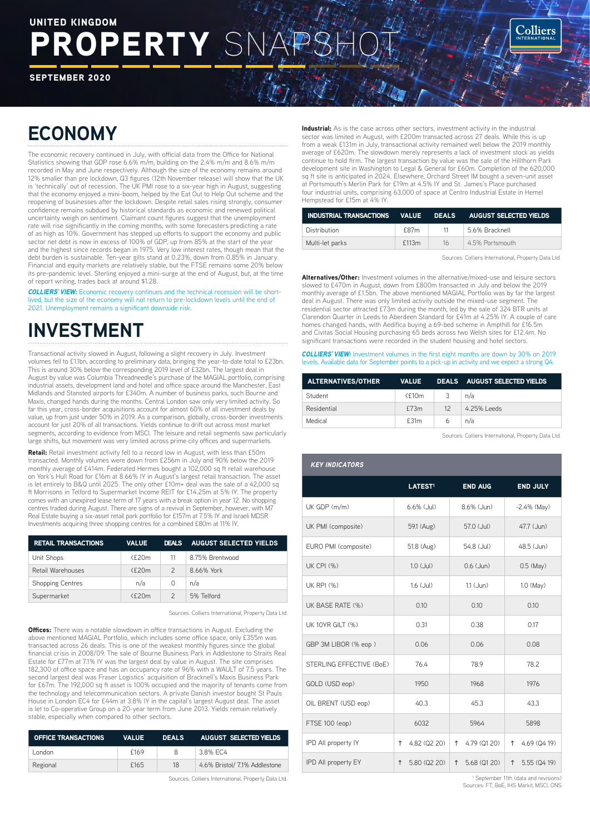# ROPERTY SN UNITED KINGDOM

SEPTEMBER 2020

## **ECONOMY**

The economic recovery continued in July, with official data from the Office for National Statistics showing that GDP rose 6.6% m/m, building on the 2.4% m/m and 8.6% m/m recorded in May and June respectively. Although the size of the economy remains around 12% smaller than pre lockdown, Q3 figures (12th November release) will show that the UK is 'technically' out of recession. The UK PMI rose to a six-year high in August, suggesting that the economy enjoyed a mini-boom, helped by the Eat Out to Help Out scheme and the reopening of businesses after the lockdown. Despite retail sales rising strongly, consumer confidence remains subdued by historical standards as economic and renewed political uncertainty weigh on sentiment. Claimant count figures suggest that the unemployment rate will rise significantly in the coming months, with some forecasters predicting a rate of as high as 10%. Government has stepped up efforts to support the economy and public sector net debt is now in excess of 100% of GDP, up from 85% at the start of the year and the highest since records began in 1975. Very low interest rates, though mean that the debt burden is sustainable. Ten-year gilts stand at 0.23%, down from 0.85% in January. Financial and equity markets are relatively stable, but the FTSE remains some 20% below its pre-pandemic level. Sterling enjoyed a mini-surge at the end of August, but, at the time of report writing, trades back at around \$1.28.

*COLLIERS' VIEW:* Economic recovery continues and the technical recession will be shortd, but the size of the economy will not return to pre-lockdown levels until the end of 2021. Unemployment remains a significant downside risk.

## **INVESTMENT**

Transactional activity slowed in August, following a slight recovery in July. Investment volumes fell to £1.1bn, according to preliminary data, bringing the year-to-date total to £23bn. This is around 30% below the corresponding 2019 level of £32bn. The largest deal in August by value was Columbia Threadneedle's purchase of the MAGIAL portfolio, comprising industrial assets, development land and hotel and office space around the Manchester, East Midlands and Stansted airports for £340m. A number of business parks, such Bourne and Maxis, changed hands during the months. Central London saw only very limited activity. So far this year, cross-border acquisitions account for almost 60% of all investment deals by value, up from just under 50% in 2019. As a comparison, globally, cross-border investments account for just 20% of all transactions. Yields continue to drift out across most market segments, according to evidence from MSCI. The leisure and retail segments saw particularly large shifts, but movement was very limited across prime city offices and supermarkets.

Retail: Retail investment activity fell to a record low in August, with less than £50m transacted. Monthly volumes were down from £256m in July and 90% below the 2019 monthly average of £414m. Federated Hermes bought a 102,000 sq ft retail warehouse on York's Hull Road for £16m at 8.66% IY in August's largest retail transaction. The asset is let entirely to B&Q until 2025. The only other £10m+ deal was the sale of a 42,000 sq ft Morrisons in Telford to Supermarket Income REIT for £14.25m at 5% IY. The property comes with an unexpired lease term of 17 years with a break option in year 12. No shopping centres traded during August. There are signs of a revival in September, however, with M7 Real Estate buying a six-asset retail park portfolio for £157m at 7.5% IY and Israeli MDSR Investments acquiring three shopping centres for a combined £80m at 11% IY.

| <b>RETAIL TRANSACTIONS</b> | <b>VALUE</b>   |               | DEALS AUGUST SELECTED YIELDS |
|----------------------------|----------------|---------------|------------------------------|
| Unit Shops                 | $<$ f20m       | 11            | 8.75% Brentwood              |
| Retail Warehouses          | $<$ f20m       | $\mathcal{P}$ | 8.66% York                   |
| <b>Shopping Centres</b>    | n/a            | 0             | n/a                          |
| Supermarket                | $<$ f $>$ $0m$ | $\mathcal{P}$ | 5% Telford                   |

Sources: Colliers International, Property Data Ltd.

**Offices:** There was a notable slowdown in office transactions in August. Excluding the above mentioned MAGIAL Portfolio, which includes some office space, only £355m was transacted across 26 deals. This is one of the weakest monthly figures since the global financial crisis in 2008/09. The sale of Bourne Business Park in Addlestone to Straits Real Estate for £77m at 7.1% IY was the largest deal by value in August. The site comprises 182,300 of office space and has an occupancy rate of 96% with a WAULT of 7.5 years. The second largest deal was Fraser Logistics' acquisition of Bracknell's Maxis Business Park for £67m. The 192,000 sq ft asset is 100% occupied and the majority of tenants come from the technology and telecommunication sectors. A private Danish investor bought St Pauls House in London EC4 for £44m at 3.8% IY in the capital's largest August deal. The asset is let to Co-operative Group on a 20-year term from June 2013. Yields remain relatively stable, especially when compared to other sectors.

| <b>OFFICE TRANSACTIONS</b> | <b>VALUE</b> | <b>DEALS</b> | <b>AUGUST SELECTED YIELDS</b> |
|----------------------------|--------------|--------------|-------------------------------|
| _ondon                     | f169         | 8            | 3.8% EC4                      |
| Regional                   | £165         | 18           | 4.6% Bristol/ 7.1% Addlestone |

Sources: Colliers International, Property Data Ltd.

**Industrial:** As is the case across other sectors, investment activity in the industrial medicinal visits and sace development sectors, investment detting in the inductional sector was limited in August, with £200m transacted across 27 deals. While this is up from a weak £131m in July, transactional activity remained well below the 2019 monthly average of £620m. The slowdown merely represents a lack of investment stock as yields continue to hold firm. The largest transaction by value was the sale of the Hillthorn Park development site in Washington to Legal & General for £60m. Completion of the 620,000 sq ft site is anticipated in 2024. Elsewhere, Orchard Street IM bought a seven-unit asset at Portsmouth's Merlin Park for £19m at 4.5% IY and St. James's Place purchased four industrial units, comprising 63,000 of space at Centro Industrial Estate in Hemel Hempstead for £15m at 4% IY.

| INDUSTRIAL TRANSACTIONS    VALUE    DEALS    AUGUST    SELECTED    YIELDS |       |                       |                |
|---------------------------------------------------------------------------|-------|-----------------------|----------------|
| Distribution                                                              | f87m  | 11                    | 5.6% Bracknell |
| Multi-let parks                                                           | £113m | 16<br>4.5% Portsmouth |                |

Sources: Colliers International, Property Data Ltd.

**Colliers** 

Alternatives/Other: Investment volumes in the alternative/mixed-use and leisure sectors slowed to £470m in August, down from £800m transacted in July and below the 2019 monthly average of £1.5bn. The above mentioned MAGIAL Portfolio was by far the largest deal in August. There was only limited activity outside the mixed-use segment. The residential sector attracted £73m during the month, led by the sale of 324 BTR units at Clarendon Quarter in Leeds to Aberdeen Standard for £41m at 4.25% IY. A couple of care homes changed hands, with Aedifica buying a 69-bed scheme in Ampthill for £16.5m and Civitas Social Housing purchasing 65 beds across two Welsh sites for £12.4m. No significant transactions were recorded in the student housing and hotel sectors.

*COLLIERS' VIEW:* Investment volumes in the first eight months are down by 30% on 2019 levels. Available data for September points to a pick-up in activity and we expect a strong Q4.

| <b>ALTERNATIVES/OTHER</b> |        |                 | VALUE DEALS AUGUST SELECTED VIELDS |
|---------------------------|--------|-----------------|------------------------------------|
| Student                   | $£10m$ | 3               | n/a                                |
| Residential               | £73m   | 12 <sup>7</sup> | 4.25% Leeds                        |
| Medical                   | f.31m  | 6               | n/a                                |

Sources: Colliers International, Property Data Ltd.

| <b>KEY INDICATORS</b>    |                     |                   |                   |
|--------------------------|---------------------|-------------------|-------------------|
|                          | LATEST <sup>1</sup> | <b>END AUG</b>    | <b>END JULY</b>   |
| UK GDP (m/m)             | $6.6\%$ (Jul)       | $8.6\%$ (.Jun)    | $-2.4\%$ (May)    |
| UK PMI (composite)       | 59.1 (Aug)          | 57.0 (Jul)        | 47.7 (Jun)        |
| EURO PMI (composite)     | 51.8 (Aug)          | 54.8 (Jul)        | 48.5 (Jun)        |
| <b>UK CPI (%)</b>        | $1.0$ (Jul)         | $0.6$ (.Jun)      | $0.5$ (May)       |
| <b>UK RPI (%)</b>        | $1.6$ (Jul)         | $11$ ( $Jun)$     | 1.0 (May)         |
| UK BASE RATE (%)         | 0.10                | 0.10              | 0.10              |
| <b>UK 10YR GILT (%)</b>  | 0.31                | 0.38              | 0.17              |
| GBP 3M LIBOR (% eop)     | 0.06                | 0.06              | 0.08              |
| STERLING EFFECTIVE (BoE) | 76.4                | 78.9              | 78.2              |
| GOLD (USD eop)           | 1950                | 1968              | 1976              |
| OIL BRENT (USD eop)      | 40.3                | 45.3              | 43.3              |
| FTSE 100 (eop)           | 6032                | 5964              | 5898              |
| IPD All property IY      | 4.82 (Q2 20)<br>↑   | 4.79 (Q1 20)<br>↑ | 4.69 (Q4 19)<br>↑ |
| IPD All property EY      | 5.80 (Q2 20)<br>↑   | 5.68 (Q1 20)<br>↑ | 5.55 (Q4 19)<br>↑ |

September 11th (data and revisions) Sources: FT, BoE, IHS Markit, MSCI, ONS